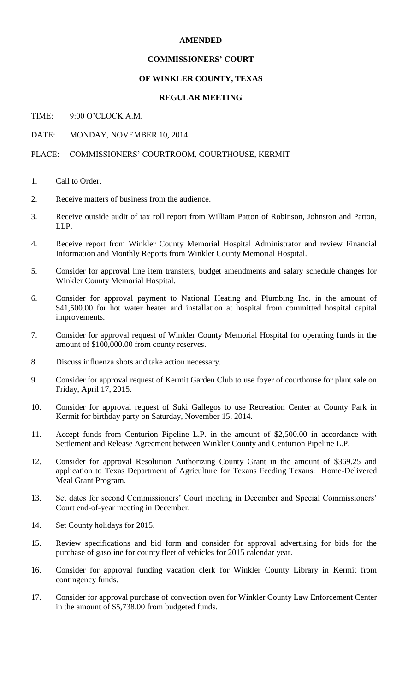## **AMENDED**

# **COMMISSIONERS' COURT**

### **OF WINKLER COUNTY, TEXAS**

### **REGULAR MEETING**

# TIME: 9:00 O'CLOCK A.M.

#### DATE: MONDAY, NOVEMBER 10, 2014

## PLACE: COMMISSIONERS' COURTROOM, COURTHOUSE, KERMIT

- 1. Call to Order.
- 2. Receive matters of business from the audience.
- 3. Receive outside audit of tax roll report from William Patton of Robinson, Johnston and Patton, LLP.
- 4. Receive report from Winkler County Memorial Hospital Administrator and review Financial Information and Monthly Reports from Winkler County Memorial Hospital.
- 5. Consider for approval line item transfers, budget amendments and salary schedule changes for Winkler County Memorial Hospital.
- 6. Consider for approval payment to National Heating and Plumbing Inc. in the amount of \$41,500.00 for hot water heater and installation at hospital from committed hospital capital improvements.
- 7. Consider for approval request of Winkler County Memorial Hospital for operating funds in the amount of \$100,000.00 from county reserves.
- 8. Discuss influenza shots and take action necessary.
- 9. Consider for approval request of Kermit Garden Club to use foyer of courthouse for plant sale on Friday, April 17, 2015.
- 10. Consider for approval request of Suki Gallegos to use Recreation Center at County Park in Kermit for birthday party on Saturday, November 15, 2014.
- 11. Accept funds from Centurion Pipeline L.P. in the amount of \$2,500.00 in accordance with Settlement and Release Agreement between Winkler County and Centurion Pipeline L.P.
- 12. Consider for approval Resolution Authorizing County Grant in the amount of \$369.25 and application to Texas Department of Agriculture for Texans Feeding Texans: Home-Delivered Meal Grant Program.
- 13. Set dates for second Commissioners' Court meeting in December and Special Commissioners' Court end-of-year meeting in December.
- 14. Set County holidays for 2015.
- 15. Review specifications and bid form and consider for approval advertising for bids for the purchase of gasoline for county fleet of vehicles for 2015 calendar year.
- 16. Consider for approval funding vacation clerk for Winkler County Library in Kermit from contingency funds.
- 17. Consider for approval purchase of convection oven for Winkler County Law Enforcement Center in the amount of \$5,738.00 from budgeted funds.